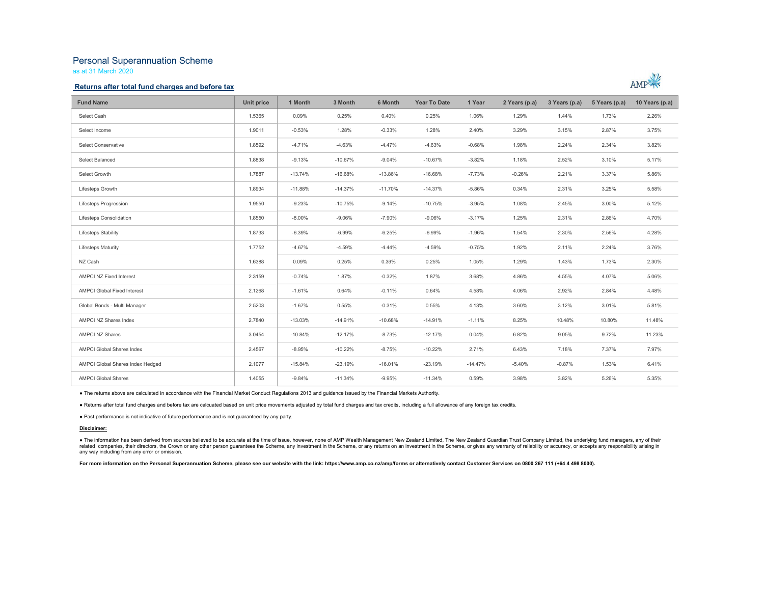# Personal Superannuation Scheme

as at 31 March 2020

### Returns after total fund charges and before tax



| <b>Fund Name</b>                   | Unit price | 1 Month   | 3 Month   | 6 Month   | <b>Year To Date</b> | 1 Year    | 2 Years (p.a) | 3 Years (p.a) | 5 Years (p.a) | 10 Years (p.a) |
|------------------------------------|------------|-----------|-----------|-----------|---------------------|-----------|---------------|---------------|---------------|----------------|
| Select Cash                        | 1.5365     | 0.09%     | 0.25%     | 0.40%     | 0.25%               | 1.06%     | 1.29%         | 1.44%         | 1.73%         | 2.26%          |
| Select Income                      | 1.9011     | $-0.53%$  | 1.28%     | $-0.33%$  | 1.28%               | 2.40%     | 3.29%         | 3.15%         | 2.87%         | 3.75%          |
| Select Conservative                | 1.8592     | $-4.71%$  | $-4.63%$  | $-4.47%$  | $-4.63%$            | $-0.68%$  | 1.98%         | 2.24%         | 2.34%         | 3.82%          |
| Select Balanced                    | 1.8838     | $-9.13%$  | $-10.67%$ | $-9.04%$  | $-10.67%$           | $-3.82%$  | 1.18%         | 2.52%         | 3.10%         | 5.17%          |
| Select Growth                      | 1.7887     | $-13.74%$ | $-16.68%$ | $-13.86%$ | $-16.68%$           | $-7.73%$  | $-0.26%$      | 2.21%         | 3.37%         | 5.86%          |
| Lifesteps Growth                   | 1.8934     | $-11.88%$ | $-14.37%$ | $-11.70%$ | $-14.37%$           | $-5.86%$  | 0.34%         | 2.31%         | 3.25%         | 5.58%          |
| Lifesteps Progression              | 1.9550     | $-9.23%$  | $-10.75%$ | $-9.14%$  | $-10.75%$           | $-3.95%$  | 1.08%         | 2.45%         | 3.00%         | 5.12%          |
| Lifesteps Consolidation            | 1.8550     | $-8.00%$  | $-9.06%$  | $-7.90%$  | $-9.06%$            | $-3.17%$  | 1.25%         | 2.31%         | 2.86%         | 4.70%          |
| Lifesteps Stability                | 1.8733     | $-6.39%$  | $-6.99%$  | $-6.25%$  | $-6.99%$            | $-1.96%$  | 1.54%         | 2.30%         | 2.56%         | 4.28%          |
| <b>Lifesteps Maturity</b>          | 1.7752     | $-4.67%$  | $-4.59%$  | $-4.44%$  | $-4.59%$            | $-0.75%$  | 1.92%         | 2.11%         | 2.24%         | 3.76%          |
| NZ Cash                            | 1.6388     | 0.09%     | 0.25%     | 0.39%     | 0.25%               | 1.05%     | 1.29%         | 1.43%         | 1.73%         | 2.30%          |
| AMPCI NZ Fixed Interest            | 2.3159     | $-0.74%$  | 1.87%     | $-0.32%$  | 1.87%               | 3.68%     | 4.86%         | 4.55%         | 4.07%         | 5.06%          |
| <b>AMPCI Global Fixed Interest</b> | 2.1268     | $-1.61%$  | 0.64%     | $-0.11%$  | 0.64%               | 4.58%     | 4.06%         | 2.92%         | 2.84%         | 4.48%          |
| Global Bonds - Multi Manager       | 2.5203     | $-1.67%$  | 0.55%     | $-0.31%$  | 0.55%               | 4.13%     | 3.60%         | 3.12%         | 3.01%         | 5.81%          |
| AMPCI NZ Shares Index              | 2.7840     | $-13.03%$ | $-14.91%$ | $-10.68%$ | $-14.91%$           | $-1.11%$  | 8.25%         | 10.48%        | 10.80%        | 11.48%         |
| <b>AMPCI NZ Shares</b>             | 3.0454     | $-10.84%$ | $-12.17%$ | $-8.73%$  | $-12.17%$           | 0.04%     | 6.82%         | 9.05%         | 9.72%         | 11.23%         |
| <b>AMPCI Global Shares Index</b>   | 2.4567     | $-8.95%$  | $-10.22%$ | $-8.75%$  | $-10.22%$           | 2.71%     | 6.43%         | 7.18%         | 7.37%         | 7.97%          |
| AMPCI Global Shares Index Hedged   | 2.1077     | $-15.84%$ | $-23.19%$ | $-16.01%$ | $-23.19%$           | $-14.47%$ | $-5.40%$      | $-0.87%$      | 1.53%         | 6.41%          |
| <b>AMPCI Global Shares</b>         | 1.4055     | $-9.84%$  | $-11.34%$ | $-9.95%$  | $-11.34%$           | 0.59%     | 3.98%         | 3.82%         | 5.26%         | 5.35%          |

● The returns above are calculated in accordance with the Financial Market Conduct Regulations 2013 and guidance issued by the Financial Markets Authority.<br>● Returns after total fund charges and before tax are calcuated b

#### Disclaimer:

● The information has been derived from sources believed to be accurate at the time of issue, however, none of AMP Wealth Management New Zealand Limited, The New Zealand Guardian Trust Company Limited, the underlying fund any way including from any error or omission.

For more information on the Personal Superannuation Scheme, please see our website with the link: https://www.amp.co.nz/amp/forms or alternatively contact Customer Services on 0800 267 111 (+64 4 498 8000).